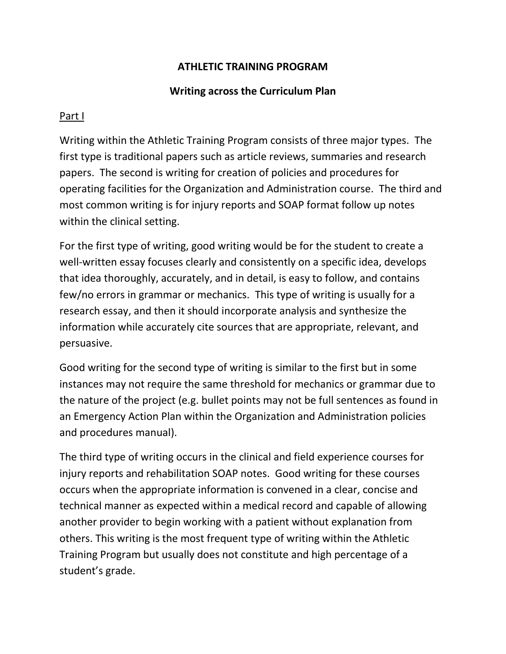## **ATHLETIC TRAINING PROGRAM**

## **Writing across the Curriculum Plan**

## Part I

Writing within the Athletic Training Program consists of three major types. The first type is traditional papers such as article reviews, summaries and research papers. The second is writing for creation of policies and procedures for operating facilities for the Organization and Administration course. The third and most common writing is for injury reports and SOAP format follow up notes within the clinical setting.

For the first type of writing, good writing would be for the student to create a well-written essay focuses clearly and consistently on a specific idea, develops that idea thoroughly, accurately, and in detail, is easy to follow, and contains few/no errors in grammar or mechanics. This type of writing is usually for a research essay, and then it should incorporate analysis and synthesize the information while accurately cite sources that are appropriate, relevant, and persuasive.

Good writing for the second type of writing is similar to the first but in some instances may not require the same threshold for mechanics or grammar due to the nature of the project (e.g. bullet points may not be full sentences as found in an Emergency Action Plan within the Organization and Administration policies and procedures manual).

The third type of writing occurs in the clinical and field experience courses for injury reports and rehabilitation SOAP notes. Good writing for these courses occurs when the appropriate information is convened in a clear, concise and technical manner as expected within a medical record and capable of allowing another provider to begin working with a patient without explanation from others. This writing is the most frequent type of writing within the Athletic Training Program but usually does not constitute and high percentage of a student's grade.